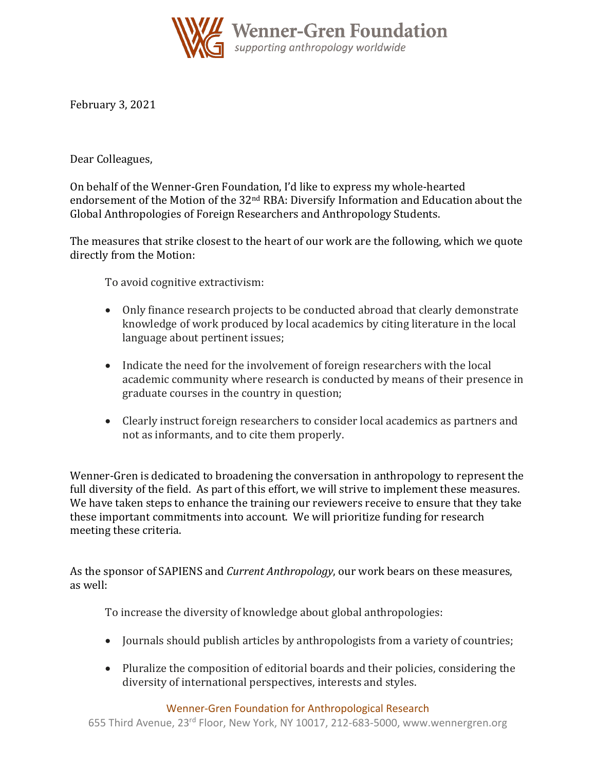

February 3, 2021

Dear Colleagues,

On behalf of the Wenner-Gren Foundation, I'd like to express my whole-hearted endorsement of the Motion of the 32<sup>nd</sup> RBA: Diversify Information and Education about the Global Anthropologies of Foreign Researchers and Anthropology Students.

The measures that strike closest to the heart of our work are the following, which we quote directly from the Motion:

To avoid cognitive extractivism:

- Only finance research projects to be conducted abroad that clearly demonstrate knowledge of work produced by local academics by citing literature in the local language about pertinent issues;
- Indicate the need for the involvement of foreign researchers with the local academic community where research is conducted by means of their presence in graduate courses in the country in question;
- Clearly instruct foreign researchers to consider local academics as partners and not as informants, and to cite them properly.

Wenner-Gren is dedicated to broadening the conversation in anthropology to represent the full diversity of the field. As part of this effort, we will strive to implement these measures. We have taken steps to enhance the training our reviewers receive to ensure that they take these important commitments into account. We will prioritize funding for research meeting these criteria.

As the sponsor of SAPIENS and *Current Anthropology*, our work bears on these measures, as well:

To increase the diversity of knowledge about global anthropologies:

- Journals should publish articles by anthropologists from a variety of countries;
- Pluralize the composition of editorial boards and their policies, considering the diversity of international perspectives, interests and styles.

Wenner-Gren Foundation for Anthropological Research